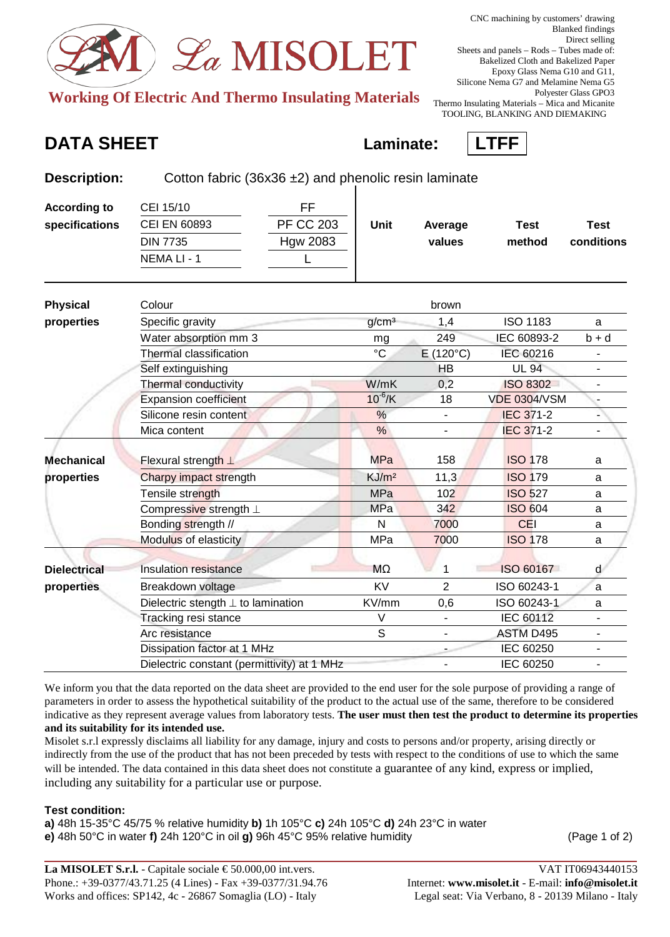

**Working Of Electric And Thermo Insulating Materials** 

**Description:** Cotton fabric (36x36 ±2) and phenolic resin laminate

## **DATA SHEET Laminate: LTFF**



| <b>According to</b> | CEI 15/10                                   | <b>FF</b>        |                   |                   |                     |                              |
|---------------------|---------------------------------------------|------------------|-------------------|-------------------|---------------------|------------------------------|
| specifications      | <b>CEI EN 60893</b>                         | <b>PF CC 203</b> | Unit              | Average           | <b>Test</b>         | <b>Test</b>                  |
|                     | <b>DIN 7735</b>                             | <b>Hgw 2083</b>  |                   | values            | method              | conditions                   |
|                     | NEMA LI - 1                                 |                  |                   |                   |                     |                              |
| <b>Physical</b>     | Colour                                      |                  |                   | brown             |                     |                              |
| properties          | Specific gravity                            |                  | g/cm <sup>3</sup> | 1,4               | <b>ISO 1183</b>     | a                            |
|                     | Water absorption mm 3                       |                  | mg                | 249               | IEC 60893-2         | $b + d$                      |
|                     | <b>Thermal classification</b>               |                  | $\rm ^{\circ}C$   | $E(120^{\circ}C)$ | IEC 60216           | $\qquad \qquad \blacksquare$ |
|                     | Self extinguishing                          |                  |                   | <b>HB</b>         | <b>UL 94</b>        | $\overline{\phantom{a}}$     |
|                     | Thermal conductivity                        |                  | W/mK              | 0,2               | <b>ISO 8302</b>     |                              |
|                     | <b>Expansion coefficient</b>                |                  | $10^{-6}$ /K      | 18                | <b>VDE 0304/VSM</b> |                              |
|                     | Silicone resin content                      |                  | $\frac{0}{0}$     |                   | <b>IEC 371-2</b>    |                              |
|                     | Mica content                                |                  | $\frac{9}{6}$     |                   | <b>IEC 371-2</b>    |                              |
| <b>Mechanical</b>   | Flexural strength $\perp$                   |                  | <b>MPa</b>        | 158               | <b>ISO 178</b>      | a                            |
| properties          | Charpy impact strength                      |                  | KJ/m <sup>2</sup> | 11,3              | <b>ISO 179</b>      | a                            |
|                     | Tensile strength                            |                  | <b>MPa</b>        | 102               | <b>ISO 527</b>      | a                            |
|                     | Compressive strength ⊥                      |                  | <b>MPa</b>        | 342               | <b>ISO 604</b>      | a                            |
|                     | Bonding strength //                         |                  | N                 | 7000              | <b>CEI</b>          | a                            |
|                     | Modulus of elasticity                       |                  | <b>MPa</b>        | 7000              | <b>ISO 178</b>      | a                            |
| <b>Dielectrical</b> | <b>Insulation resistance</b>                |                  | MΩ                | 1                 | ISO 60167           | d                            |
| properties          | Breakdown voltage                           |                  | <b>KV</b>         | $\overline{2}$    | ISO 60243-1         | a                            |
|                     | Dielectric stength $\perp$ to lamination    |                  | KV/mm             | 0,6               | ISO 60243-1         | a                            |
|                     | Tracking resi stance                        |                  | $\vee$            |                   | IEC 60112           |                              |
|                     | Arc resistance                              |                  | S                 |                   | <b>ASTM D495</b>    |                              |
|                     | Dissipation factor at 1 MHz                 |                  |                   |                   | IEC 60250           | $\blacksquare$               |
|                     | Dielectric constant (permittivity) at 1 MHz |                  |                   |                   | IEC 60250           |                              |

We inform you that the data reported on the data sheet are provided to the end user for the sole purpose of providing a range of parameters in order to assess the hypothetical suitability of the product to the actual use of the same, therefore to be considered indicative as they represent average values from laboratory tests. **The user must then test the product to determine its properties and its suitability for its intended use.**

Misolet s.r.l expressly disclaims all liability for any damage, injury and costs to persons and/or property, arising directly or indirectly from the use of the product that has not been preceded by tests with respect to the conditions of use to which the same will be intended. The data contained in this data sheet does not constitute a guarantee of any kind, express or implied, including any suitability for a particular use or purpose.

## **Test condition:**

**a)** 48h 15-35°C 45/75 % relative humidity **b)** 1h 105°C **c)** 24h 105°C **d)** 24h 23°C in water **e)** 48h 50°C in water **f)** 24h 120°C in oil **g)** 96h 45°C 95% relative humidity (Page 1 of 2)